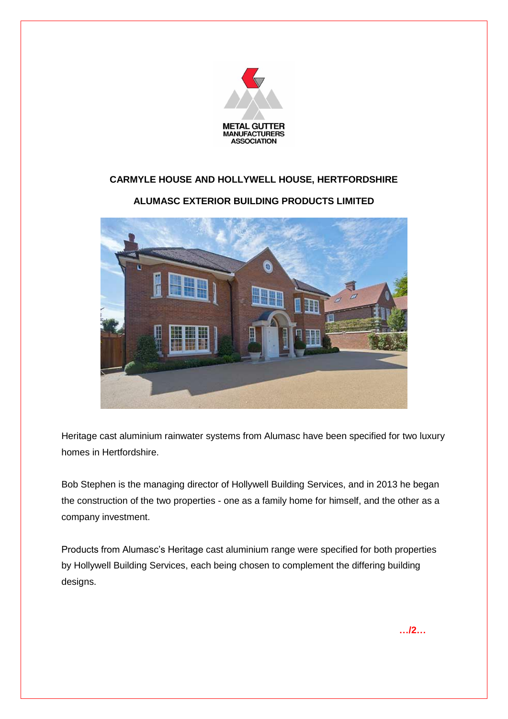

## **CARMYLE HOUSE AND HOLLYWELL HOUSE, HERTFORDSHIRE**

## **ALUMASC EXTERIOR BUILDING PRODUCTS LIMITED**



Heritage cast aluminium rainwater systems from Alumasc have been specified for two luxury homes in Hertfordshire.

Bob Stephen is the managing director of Hollywell Building Services, and in 2013 he began the construction of the two properties - one as a family home for himself, and the other as a company investment.

Products from Alumasc's Heritage cast aluminium range were specified for both properties by Hollywell Building Services, each being chosen to complement the differing building designs.

**…/2…**